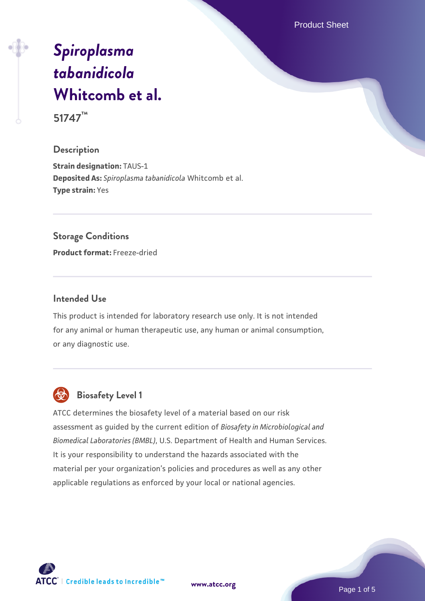Product Sheet

# *[Spiroplasma](https://www.atcc.org/products/51747) [tabanidicola](https://www.atcc.org/products/51747)* **[Whitcomb et al.](https://www.atcc.org/products/51747)**

**51747™**

# **Description**

**Strain designation:** TAUS-1 **Deposited As:** *Spiroplasma tabanidicola* Whitcomb et al. **Type strain:** Yes

# **Storage Conditions**

**Product format:** Freeze-dried

# **Intended Use**

This product is intended for laboratory research use only. It is not intended for any animal or human therapeutic use, any human or animal consumption, or any diagnostic use.



# **Biosafety Level 1**

ATCC determines the biosafety level of a material based on our risk assessment as guided by the current edition of *Biosafety in Microbiological and Biomedical Laboratories (BMBL)*, U.S. Department of Health and Human Services. It is your responsibility to understand the hazards associated with the material per your organization's policies and procedures as well as any other applicable regulations as enforced by your local or national agencies.

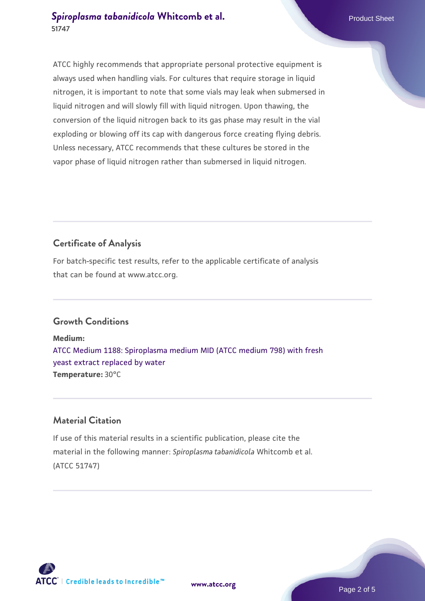# **[Spiroplasma tabanidicola](https://www.atcc.org/products/51747) [Whitcomb et al.](https://www.atcc.org/products/51747)** Product Sheet **51747**

ATCC highly recommends that appropriate personal protective equipment is always used when handling vials. For cultures that require storage in liquid nitrogen, it is important to note that some vials may leak when submersed in liquid nitrogen and will slowly fill with liquid nitrogen. Upon thawing, the conversion of the liquid nitrogen back to its gas phase may result in the vial exploding or blowing off its cap with dangerous force creating flying debris. Unless necessary, ATCC recommends that these cultures be stored in the vapor phase of liquid nitrogen rather than submersed in liquid nitrogen.

# **Certificate of Analysis**

For batch-specific test results, refer to the applicable certificate of analysis that can be found at www.atcc.org.

# **Growth Conditions**

**Medium:**  [ATCC Medium 1188: Spiroplasma medium MID \(ATCC medium 798\) with fresh](https://www.atcc.org/-/media/product-assets/documents/microbial-media-formulations/1/1/8/8/atcc-medium-1188.pdf?rev=f06e665a9601420f9022e6cbb14297d3) [yeast extract replaced by water](https://www.atcc.org/-/media/product-assets/documents/microbial-media-formulations/1/1/8/8/atcc-medium-1188.pdf?rev=f06e665a9601420f9022e6cbb14297d3) **Temperature:** 30°C

# **Material Citation**

If use of this material results in a scientific publication, please cite the material in the following manner: *Spiroplasma tabanidicola* Whitcomb et al. (ATCC 51747)

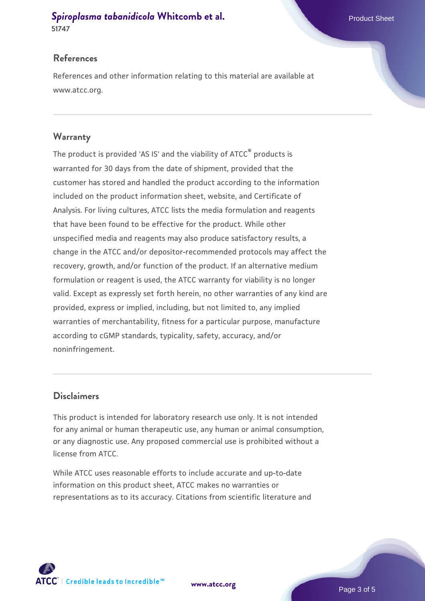### **[Spiroplasma tabanidicola](https://www.atcc.org/products/51747) [Whitcomb et al.](https://www.atcc.org/products/51747)** Product Sheet **51747**

### **References**

References and other information relating to this material are available at www.atcc.org.

### **Warranty**

The product is provided 'AS IS' and the viability of ATCC® products is warranted for 30 days from the date of shipment, provided that the customer has stored and handled the product according to the information included on the product information sheet, website, and Certificate of Analysis. For living cultures, ATCC lists the media formulation and reagents that have been found to be effective for the product. While other unspecified media and reagents may also produce satisfactory results, a change in the ATCC and/or depositor-recommended protocols may affect the recovery, growth, and/or function of the product. If an alternative medium formulation or reagent is used, the ATCC warranty for viability is no longer valid. Except as expressly set forth herein, no other warranties of any kind are provided, express or implied, including, but not limited to, any implied warranties of merchantability, fitness for a particular purpose, manufacture according to cGMP standards, typicality, safety, accuracy, and/or noninfringement.

# **Disclaimers**

This product is intended for laboratory research use only. It is not intended for any animal or human therapeutic use, any human or animal consumption, or any diagnostic use. Any proposed commercial use is prohibited without a license from ATCC.

While ATCC uses reasonable efforts to include accurate and up-to-date information on this product sheet, ATCC makes no warranties or representations as to its accuracy. Citations from scientific literature and

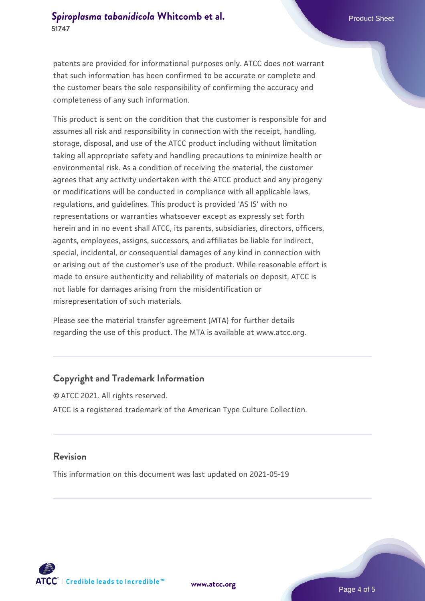patents are provided for informational purposes only. ATCC does not warrant that such information has been confirmed to be accurate or complete and the customer bears the sole responsibility of confirming the accuracy and completeness of any such information.

This product is sent on the condition that the customer is responsible for and assumes all risk and responsibility in connection with the receipt, handling, storage, disposal, and use of the ATCC product including without limitation taking all appropriate safety and handling precautions to minimize health or environmental risk. As a condition of receiving the material, the customer agrees that any activity undertaken with the ATCC product and any progeny or modifications will be conducted in compliance with all applicable laws, regulations, and guidelines. This product is provided 'AS IS' with no representations or warranties whatsoever except as expressly set forth herein and in no event shall ATCC, its parents, subsidiaries, directors, officers, agents, employees, assigns, successors, and affiliates be liable for indirect, special, incidental, or consequential damages of any kind in connection with or arising out of the customer's use of the product. While reasonable effort is made to ensure authenticity and reliability of materials on deposit, ATCC is not liable for damages arising from the misidentification or misrepresentation of such materials.

Please see the material transfer agreement (MTA) for further details regarding the use of this product. The MTA is available at www.atcc.org.

# **Copyright and Trademark Information**

© ATCC 2021. All rights reserved. ATCC is a registered trademark of the American Type Culture Collection.

### **Revision**

This information on this document was last updated on 2021-05-19